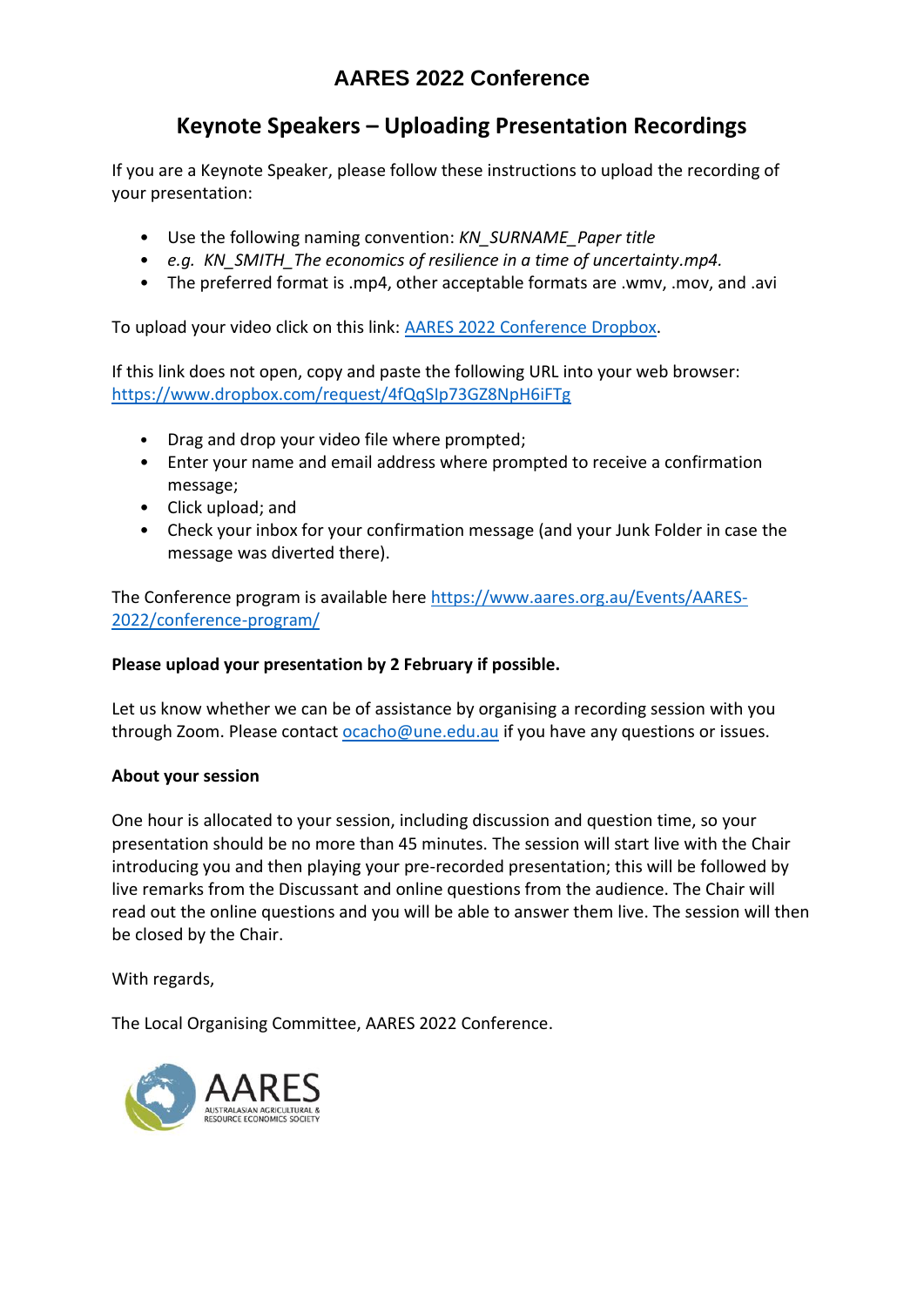# **AARES 2022 Conference**

# **Keynote Speakers – Uploading Presentation Recordings**

If you are a Keynote Speaker, please follow these instructions to upload the recording of your presentation:

- Use the following naming convention: *KN\_SURNAME\_Paper title*
- *e.g. KN\_SMITH\_The economics of resilience in a time of uncertainty.mp4.*
- The preferred format is .mp4, other acceptable formats are .wmv, .mov, and .avi

To upload your video click on this link: [AARES 2022 Conference Dropbox.](https://www.dropbox.com/request/4fQqSIp73GZ8NpH6iFTg)

If this link does not open, copy and paste the following URL into your web browser: <https://www.dropbox.com/request/4fQqSIp73GZ8NpH6iFTg>

- Drag and drop your video file where prompted;
- Enter your name and email address where prompted to receive a confirmation message;
- Click upload; and
- Check your inbox for your confirmation message (and your Junk Folder in case the message was diverted there).

The Conference program is available here [https://www.aares.org.au/Events/AARES-](https://www.aares.org.au/Events/AARES-2022/conference-program/)[2022/conference-program/](https://www.aares.org.au/Events/AARES-2022/conference-program/)

### **Please upload your presentation by 2 February if possible.**

Let us know whether we can be of assistance by organising a recording session with you through Zoom. Please contac[t ocacho@une.edu.au](mailto:ocacho@une.edu.au) if you have any questions or issues.

### **About your session**

One hour is allocated to your session, including discussion and question time, so your presentation should be no more than 45 minutes. The session will start live with the Chair introducing you and then playing your pre-recorded presentation; this will be followed by live remarks from the Discussant and online questions from the audience. The Chair will read out the online questions and you will be able to answer them live. The session will then be closed by the Chair.

With regards,

The Local Organising Committee, AARES 2022 Conference.